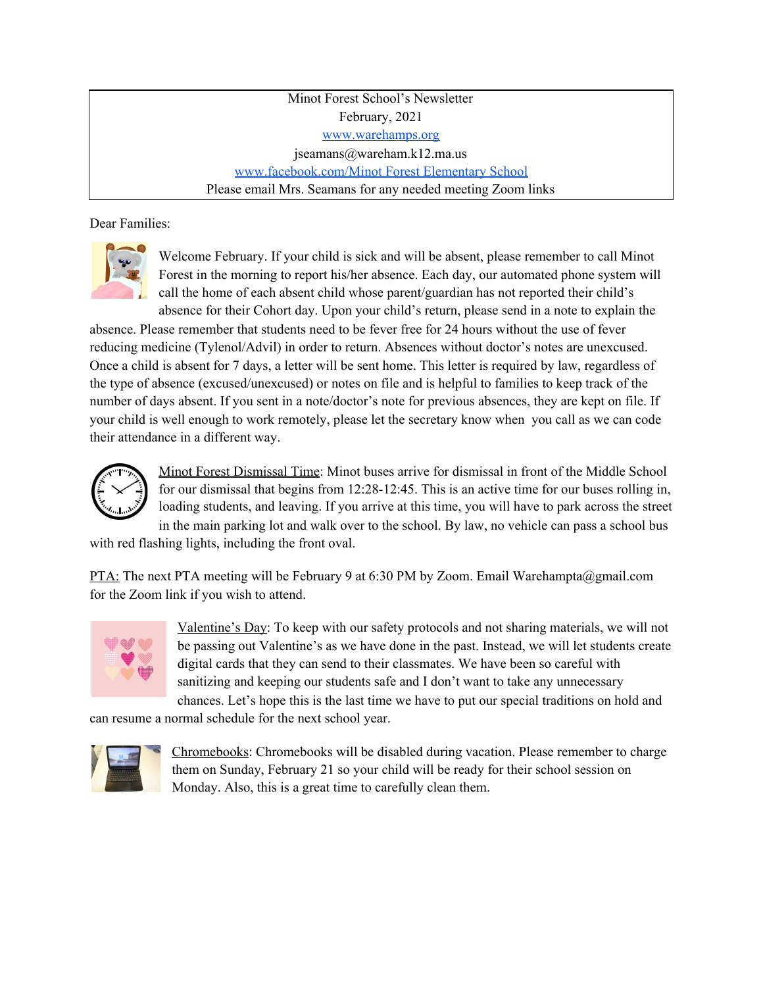Minot Forest School's Newsletter February, 2021 [www.warehamps.org](http://www.warehamps.org/) jseamans@wareham.k12.ma.us [www.facebook.com/Minot](http://www.facebook.com/Minot%20Forest%20Elementary%20School) Forest Elementary School Please email Mrs. Seamans for any needed meeting Zoom links

Dear Families:



Welcome February. If your child is sick and will be absent, please remember to call Minot Forest in the morning to report his/her absence. Each day, our automated phone system will call the home of each absent child whose parent/guardian has not reported their child's absence for their Cohort day. Upon your child's return, please send in a note to explain the

absence. Please remember that students need to be fever free for 24 hours without the use of fever reducing medicine (Tylenol/Advil) in order to return. Absences without doctor's notes are unexcused. Once a child is absent for 7 days, a letter will be sent home. This letter is required by law, regardless of the type of absence (excused/unexcused) or notes on file and is helpful to families to keep track of the number of days absent. If you sent in a note/doctor's note for previous absences, they are kept on file. If your child is well enough to work remotely, please let the secretary know when you call as we can code their attendance in a different way.



Minot Forest Dismissal Time: Minot buses arrive for dismissal in front of the Middle School for our dismissal that begins from 12:28-12:45. This is an active time for our buses rolling in, loading students, and leaving. If you arrive at this time, you will have to park across the street in the main parking lot and walk over to the school. By law, no vehicle can pass a school bus

with red flashing lights, including the front oval.

PTA: The next PTA meeting will be February 9 at 6:30 PM by Zoom. Email Warehampta@gmail.com for the Zoom link if you wish to attend.



Valentine's Day: To keep with our safety protocols and not sharing materials, we will not be passing out Valentine's as we have done in the past. Instead, we will let students create digital cards that they can send to their classmates. We have been so careful with sanitizing and keeping our students safe and I don't want to take any unnecessary chances. Let's hope this is the last time we have to put our special traditions on hold and

can resume a normal schedule for the next school year.



Chromebooks: Chromebooks will be disabled during vacation. Please remember to charge them on Sunday, February 21 so your child will be ready for their school session on Monday. Also, this is a great time to carefully clean them.